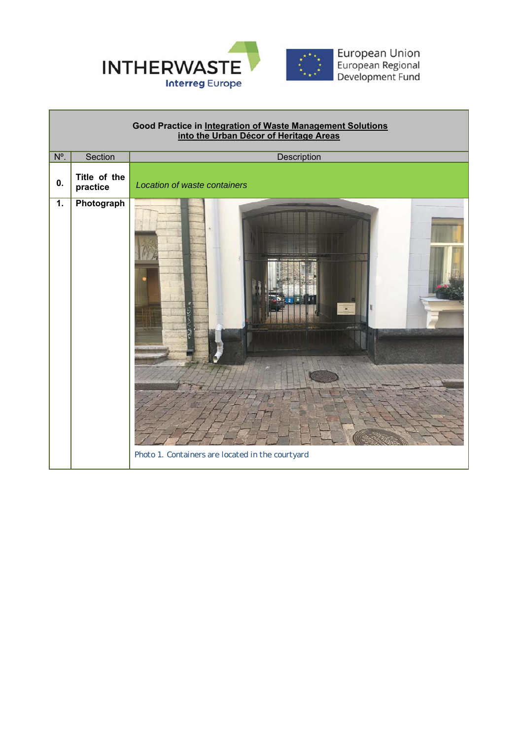

Г

| Good Practice in Integration of Waste Management Solutions<br>into the Urban Décor of Heritage Areas |                          |                                                  |  |  |  |
|------------------------------------------------------------------------------------------------------|--------------------------|--------------------------------------------------|--|--|--|
| $N^{\circ}$ .                                                                                        | Section                  | Description                                      |  |  |  |
| 0.                                                                                                   | Title of the<br>practice | Location of waste containers                     |  |  |  |
| 1.                                                                                                   | Photograph               | Photo 1. Containers are located in the courtyard |  |  |  |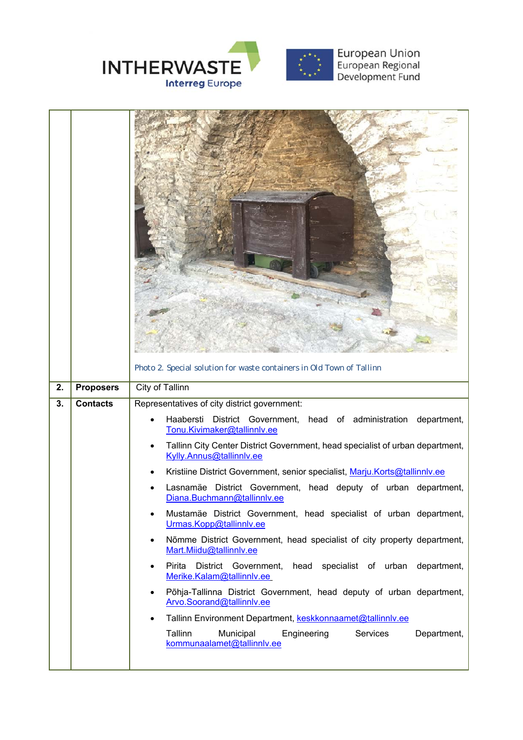

|    |                  | Photo 2. Special solution for waste containers in Old Town of Tallinn                                                                                                                                                                                                                                                                                                                                                                                                                                                                                                                                                                                                                                                                                                                                                                                                                                                                                                                                                                                     |
|----|------------------|-----------------------------------------------------------------------------------------------------------------------------------------------------------------------------------------------------------------------------------------------------------------------------------------------------------------------------------------------------------------------------------------------------------------------------------------------------------------------------------------------------------------------------------------------------------------------------------------------------------------------------------------------------------------------------------------------------------------------------------------------------------------------------------------------------------------------------------------------------------------------------------------------------------------------------------------------------------------------------------------------------------------------------------------------------------|
| 2. | <b>Proposers</b> | City of Tallinn                                                                                                                                                                                                                                                                                                                                                                                                                                                                                                                                                                                                                                                                                                                                                                                                                                                                                                                                                                                                                                           |
| 3. | <b>Contacts</b>  | Representatives of city district government:<br>Haabersti District Government, head of administration<br>department,<br>Tonu.Kivimaker@tallinnlv.ee<br>Tallinn City Center District Government, head specialist of urban department,<br>Kylly.Annus@tallinnlv.ee<br>Kristiine District Government, senior specialist, Marju.Korts@tallinnly.ee<br>Lasnamäe District Government, head deputy of urban department,<br>Diana.Buchmann@tallinnlv.ee<br>Mustamäe District Government, head specialist of urban department,<br>Urmas.Kopp@tallinnlv.ee<br>Nõmme District Government, head specialist of city property department,<br>$\bullet$<br>Mart.Miidu@tallinnlv.ee<br>Pirita District Government, head specialist of urban department,<br>٠<br>Merike.Kalam@tallinnlv.ee<br>Põhja-Tallinna District Government, head deputy of urban department,<br>$\bullet$<br>Arvo.Soorand@tallinnlv.ee<br>Tallinn Environment Department, keskkonnaamet@tallinnlv.ee<br>Tallinn<br>Municipal<br>Engineering<br>Services<br>Department,<br>kommunaalamet@tallinnlv.ee |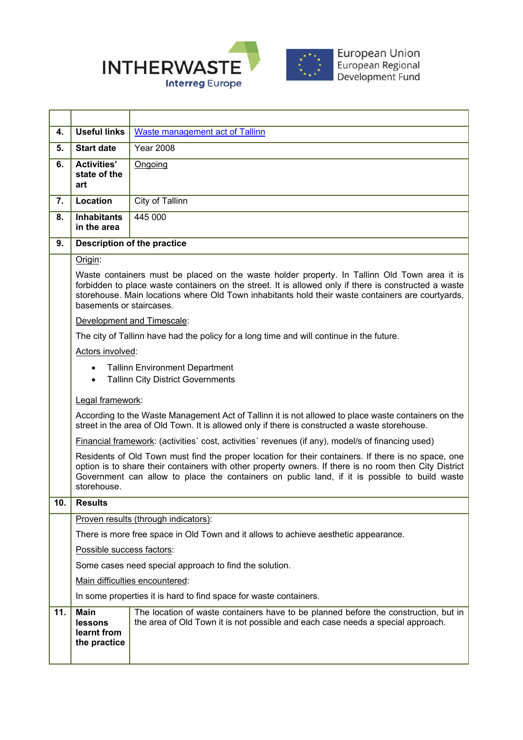

**4.** Useful links | Waste management act of Tallinn **5. Start date** Year 2008 **6. Activities' state of the art**  Ongoing **7.** Location **City of Tallinn 8. Inhabitants in the area**  445 000 **9. Description of the practice**  Origin: Waste containers must be placed on the waste holder property. In Tallinn Old Town area it is forbidden to place waste containers on the street. It is allowed only if there is constructed a waste storehouse. Main locations where Old Town inhabitants hold their waste containers are courtyards, basements or staircases. Development and Timescale: The city of Tallinn have had the policy for a long time and will continue in the future. Actors involved: Tallinn Environment Department • Tallinn City District Governments Legal framework: According to the Waste Management Act of Tallinn it is not allowed to place waste containers on the street in the area of Old Town. It is allowed only if there is constructed a waste storehouse. Financial framework: (activities´ cost, activities´ revenues (if any), model/s of financing used) Residents of Old Town must find the proper location for their containers. If there is no space, one option is to share their containers with other property owners. If there is no room then City District Government can allow to place the containers on public land, if it is possible to build waste storehouse. **10. Results**  Proven results (through indicators): There is more free space in Old Town and it allows to achieve aesthetic appearance. Possible success factors: Some cases need special approach to find the solution. Main difficulties encountered: In some properties it is hard to find space for waste containers. **11. Main lessons learnt from the practice**  The location of waste containers have to be planned before the construction, but in the area of Old Town it is not possible and each case needs a special approach.